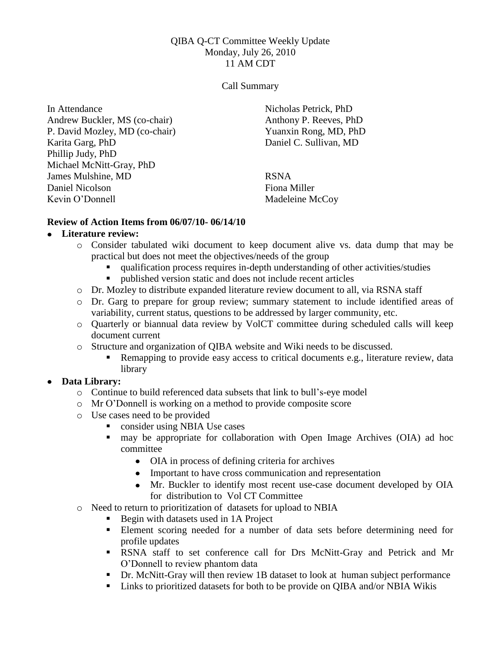#### QIBA Q-CT Committee Weekly Update Monday, July 26, 2010 11 AM CDT

#### Call Summary

In Attendance Andrew Buckler, MS (co-chair) P. David Mozley, MD (co-chair) Karita Garg, PhD Phillip Judy, PhD Michael McNitt-Gray, PhD James Mulshine, MD Daniel Nicolson Kevin O'Donnell

Nicholas Petrick, PhD Anthony P. Reeves, PhD Yuanxin Rong, MD, PhD Daniel C. Sullivan, MD

RSNA Fiona Miller Madeleine McCoy

### **Review of Action Items from 06/07/10- 06/14/10**

#### **Literature review:**

- o Consider tabulated wiki document to keep document alive vs. data dump that may be practical but does not meet the objectives/needs of the group
	- qualification process requires in-depth understanding of other activities/studies
	- published version static and does not include recent articles
- o Dr. Mozley to distribute expanded literature review document to all, via RSNA staff
- o Dr. Garg to prepare for group review; summary statement to include identified areas of variability, current status, questions to be addressed by larger community, etc.
- o Quarterly or biannual data review by VolCT committee during scheduled calls will keep document current
- o Structure and organization of QIBA website and Wiki needs to be discussed.
	- Remapping to provide easy access to critical documents e.g., literature review, data library

### **Data Library:**

- o Continue to build referenced data subsets that link to bull's-eye model
- o Mr O'Donnell is working on a method to provide composite score
- o Use cases need to be provided
	- consider using NBIA Use cases
	- may be appropriate for collaboration with Open Image Archives (OIA) ad hoc committee
		- OIA in process of defining criteria for archives
		- Important to have cross communication and representation
		- Mr. Buckler to identify most recent use-case document developed by OIA for distribution to Vol CT Committee
- o Need to return to prioritization of datasets for upload to NBIA
	- Begin with datasets used in 1A Project
	- Element scoring needed for a number of data sets before determining need for profile updates
	- RSNA staff to set conference call for Drs McNitt-Gray and Petrick and Mr O'Donnell to review phantom data
	- Dr. McNitt-Gray will then review 1B dataset to look at human subject performance
	- Links to prioritized datasets for both to be provide on QIBA and/or NBIA Wikis